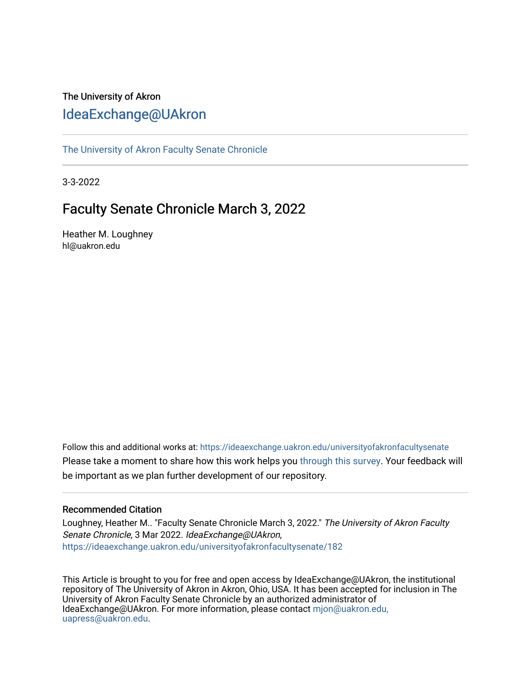# The University of Akron [IdeaExchange@UAkron](https://ideaexchange.uakron.edu/)

[The University of Akron Faculty Senate Chronicle](https://ideaexchange.uakron.edu/universityofakronfacultysenate) 

3-3-2022

# Faculty Senate Chronicle March 3, 2022

Heather M. Loughney hl@uakron.edu

Follow this and additional works at: [https://ideaexchange.uakron.edu/universityofakronfacultysenate](https://ideaexchange.uakron.edu/universityofakronfacultysenate?utm_source=ideaexchange.uakron.edu%2Funiversityofakronfacultysenate%2F182&utm_medium=PDF&utm_campaign=PDFCoverPages)  Please take a moment to share how this work helps you [through this survey](http://survey.az1.qualtrics.com/SE/?SID=SV_eEVH54oiCbOw05f&URL=https://ideaexchange.uakron.edu/universityofakronfacultysenate/182). Your feedback will be important as we plan further development of our repository.

## Recommended Citation

Loughney, Heather M.. "Faculty Senate Chronicle March 3, 2022." The University of Akron Faculty Senate Chronicle, 3 Mar 2022. IdeaExchange@UAkron, [https://ideaexchange.uakron.edu/universityofakronfacultysenate/182](https://ideaexchange.uakron.edu/universityofakronfacultysenate/182?utm_source=ideaexchange.uakron.edu%2Funiversityofakronfacultysenate%2F182&utm_medium=PDF&utm_campaign=PDFCoverPages)

This Article is brought to you for free and open access by IdeaExchange@UAkron, the institutional repository of The University of Akron in Akron, Ohio, USA. It has been accepted for inclusion in The University of Akron Faculty Senate Chronicle by an authorized administrator of IdeaExchange@UAkron. For more information, please contact [mjon@uakron.edu,](mailto:mjon@uakron.edu,%20uapress@uakron.edu) [uapress@uakron.edu.](mailto:mjon@uakron.edu,%20uapress@uakron.edu)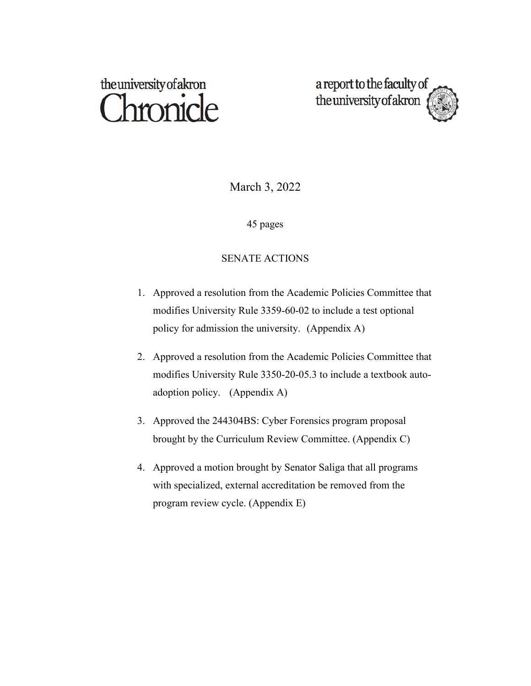# the university of akron **Thronicle**

a report to the faculty of the university of akron

March 3, 2022

45 pages

# SENATE ACTIONS

- 1. Approved a resolution from the Academic Policies Committee that modifies University Rule 3359-60-02 to include a test optional policy for admission the university. (Appendix A)
- 2. Approved a resolution from the Academic Policies Committee that modifies University Rule 3350-20-05.3 to include a textbook autoadoption policy. (Appendix A)
- 3. Approved the 244304BS: Cyber Forensics program proposal brought by the Curriculum Review Committee. (Appendix C)
- 4. Approved a motion brought by Senator Saliga that all programs with specialized, external accreditation be removed from the program review cycle. (Appendix E)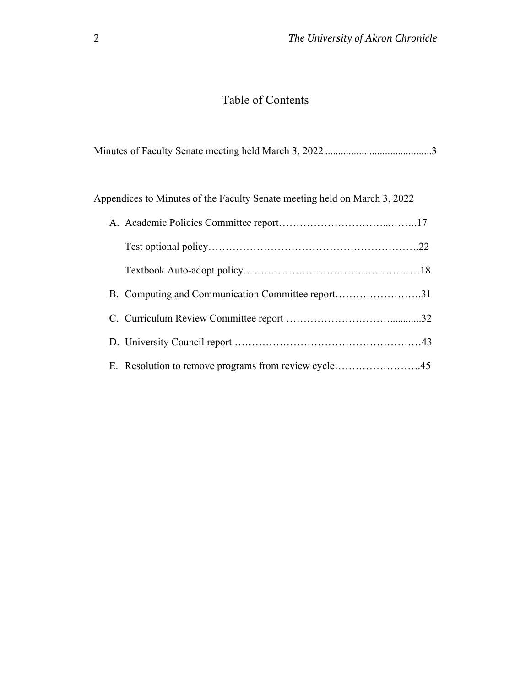# Table of Contents

|--|--|

Appendices to Minutes of the Faculty Senate meeting held on March 3, 2022

| B. Computing and Communication Committee report31    |  |
|------------------------------------------------------|--|
|                                                      |  |
|                                                      |  |
| E. Resolution to remove programs from review cycle45 |  |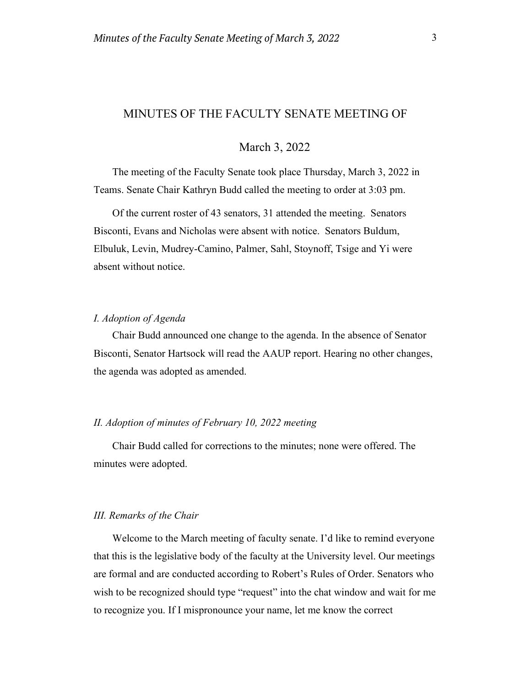# MINUTES OF THE FACULTY SENATE MEETING OF

# March 3, 2022

The meeting of the Faculty Senate took place Thursday, March 3, 2022 in Teams. Senate Chair Kathryn Budd called the meeting to order at 3:03 pm.

Of the current roster of 43 senators, 31 attended the meeting. Senators Bisconti, Evans and Nicholas were absent with notice. Senators Buldum, Elbuluk, Levin, Mudrey-Camino, Palmer, Sahl, Stoynoff, Tsige and Yi were absent without notice.

#### *I. Adoption of Agenda*

Chair Budd announced one change to the agenda. In the absence of Senator Bisconti, Senator Hartsock will read the AAUP report. Hearing no other changes, the agenda was adopted as amended.

#### *II. Adoption of minutes of February 10, 2022 meeting*

Chair Budd called for corrections to the minutes; none were offered. The minutes were adopted.

#### *III. Remarks of the Chair*

Welcome to the March meeting of faculty senate. I'd like to remind everyone that this is the legislative body of the faculty at the University level. Our meetings are formal and are conducted according to Robert's Rules of Order. Senators who wish to be recognized should type "request" into the chat window and wait for me to recognize you. If I mispronounce your name, let me know the correct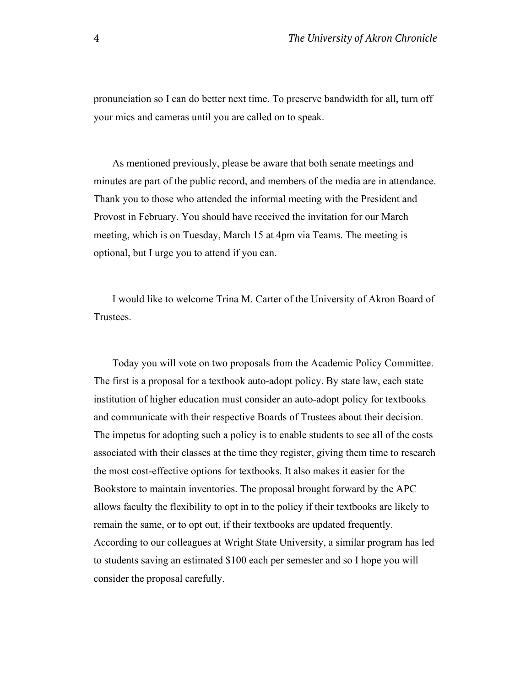pronunciation so I can do better next time. To preserve bandwidth for all, turn off your mics and cameras until you are called on to speak.  

As mentioned previously, please be aware that both senate meetings and minutes are part of the public record, and members of the media are in attendance. Thank you to those who attended the informal meeting with the President and Provost in February. You should have received the invitation for our March meeting, which is on Tuesday, March 15 at 4pm via Teams. The meeting is optional, but I urge you to attend if you can.  

I would like to welcome Trina M. Carter of the University of Akron Board of Trustees. 

Today you will vote on two proposals from the Academic Policy Committee. The first is a proposal for a textbook auto-adopt policy. By state law, each state institution of higher education must consider an auto-adopt policy for textbooks and communicate with their respective Boards of Trustees about their decision. The impetus for adopting such a policy is to enable students to see all of the costs associated with their classes at the time they register, giving them time to research the most cost-effective options for textbooks. It also makes it easier for the Bookstore to maintain inventories. The proposal brought forward by the APC allows faculty the flexibility to opt in to the policy if their textbooks are likely to remain the same, or to opt out, if their textbooks are updated frequently. According to our colleagues at Wright State University, a similar program has led to students saving an estimated \$100 each per semester and so I hope you will consider the proposal carefully.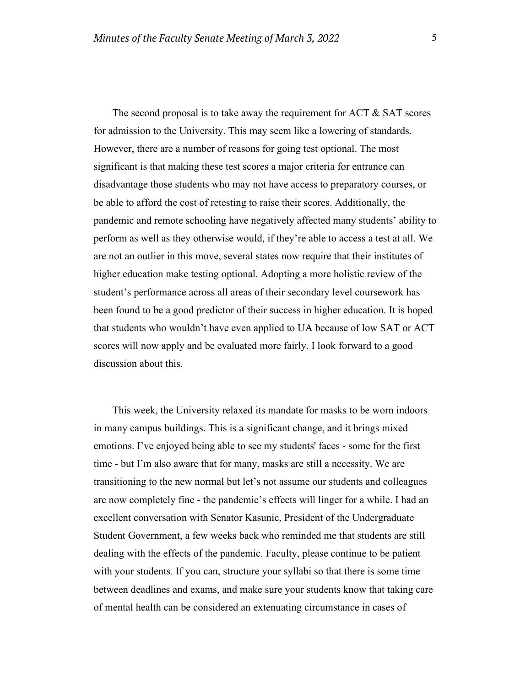The second proposal is to take away the requirement for ACT & SAT scores for admission to the University. This may seem like a lowering of standards. However, there are a number of reasons for going test optional. The most significant is that making these test scores a major criteria for entrance can disadvantage those students who may not have access to preparatory courses, or be able to afford the cost of retesting to raise their scores. Additionally, the pandemic and remote schooling have negatively affected many students' ability to perform as well as they otherwise would, if they're able to access a test at all. We are not an outlier in this move, several states now require that their institutes of higher education make testing optional. Adopting a more holistic review of the student's performance across all areas of their secondary level coursework has been found to be a good predictor of their success in higher education. It is hoped that students who wouldn't have even applied to UA because of low SAT or ACT scores will now apply and be evaluated more fairly. I look forward to a good discussion about this.  

This week, the University relaxed its mandate for masks to be worn indoors in many campus buildings. This is a significant change, and it brings mixed emotions. I've enjoyed being able to see my students' faces - some for the first time - but I'm also aware that for many, masks are still a necessity. We are transitioning to the new normal but let's not assume our students and colleagues are now completely fine - the pandemic's effects will linger for a while. I had an excellent conversation with Senator Kasunic, President of the Undergraduate Student Government, a few weeks back who reminded me that students are still dealing with the effects of the pandemic. Faculty, please continue to be patient with your students. If you can, structure your syllabi so that there is some time between deadlines and exams, and make sure your students know that taking care of mental health can be considered an extenuating circumstance in cases of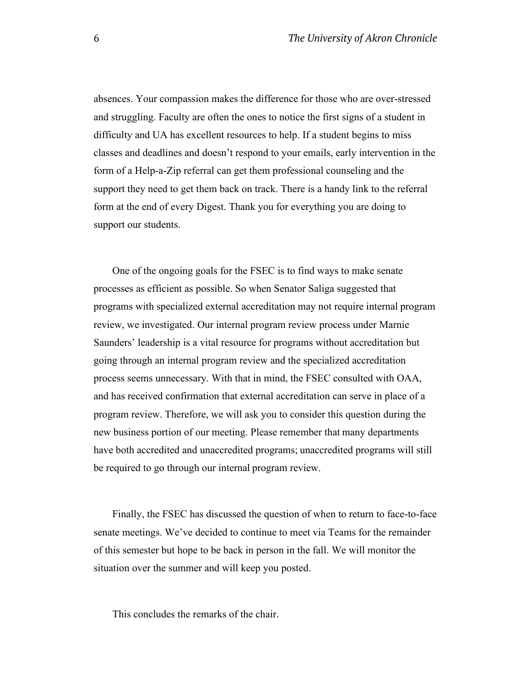absences. Your compassion makes the difference for those who are over-stressed and struggling. Faculty are often the ones to notice the first signs of a student in difficulty and UA has excellent resources to help. If a student begins to miss classes and deadlines and doesn't respond to your emails, early intervention in the form of a Help-a-Zip referral can get them professional counseling and the support they need to get them back on track. There is a handy link to the referral form at the end of every Digest. Thank you for everything you are doing to support our students.

One of the ongoing goals for the FSEC is to find ways to make senate processes as efficient as possible. So when Senator Saliga suggested that programs with specialized external accreditation may not require internal program review, we investigated. Our internal program review process under Marnie Saunders' leadership is a vital resource for programs without accreditation but going through an internal program review and the specialized accreditation process seems unnecessary. With that in mind, the FSEC consulted with OAA, and has received confirmation that external accreditation can serve in place of a program review. Therefore, we will ask you to consider this question during the new business portion of our meeting. Please remember that many departments have both accredited and unaccredited programs; unaccredited programs will still be required to go through our internal program review.

Finally, the FSEC has discussed the question of when to return to face-to-face senate meetings. We've decided to continue to meet via Teams for the remainder of this semester but hope to be back in person in the fall. We will monitor the situation over the summer and will keep you posted. 

This concludes the remarks of the chair.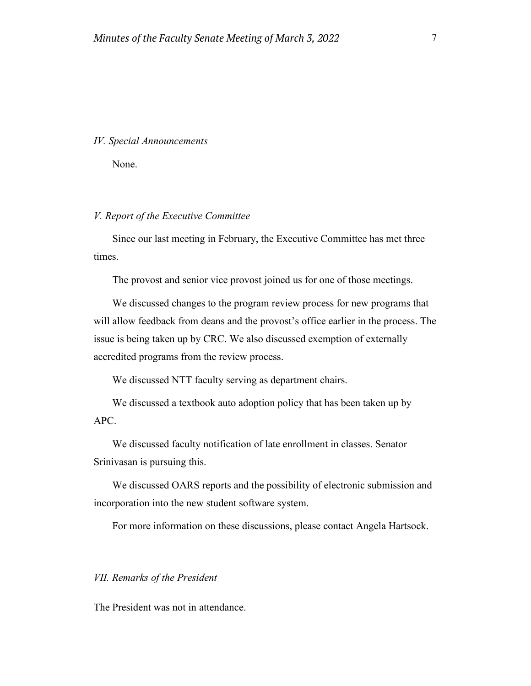#### *IV. Special Announcements*

None.

## *V. Report of the Executive Committee*

Since our last meeting in February, the Executive Committee has met three times.

The provost and senior vice provost joined us for one of those meetings.

We discussed changes to the program review process for new programs that will allow feedback from deans and the provost's office earlier in the process. The issue is being taken up by CRC. We also discussed exemption of externally accredited programs from the review process.

We discussed NTT faculty serving as department chairs.

We discussed a textbook auto adoption policy that has been taken up by APC.

We discussed faculty notification of late enrollment in classes. Senator Srinivasan is pursuing this.

We discussed OARS reports and the possibility of electronic submission and incorporation into the new student software system.

For more information on these discussions, please contact Angela Hartsock.

### *VII. Remarks of the President*

The President was not in attendance.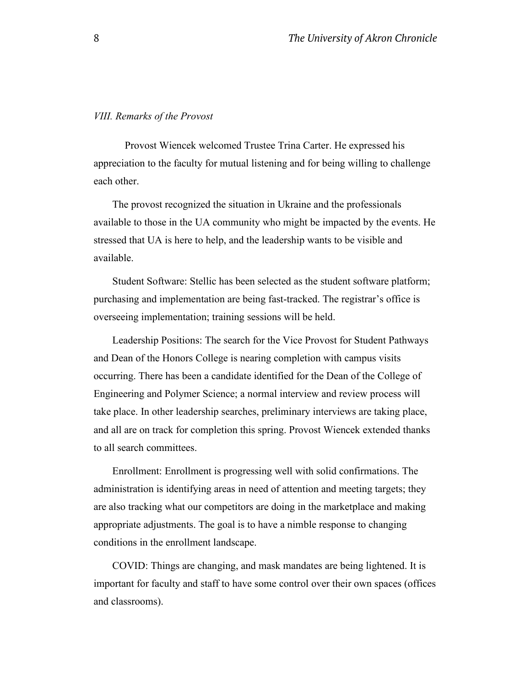#### *VIII. Remarks of the Provost*

Provost Wiencek welcomed Trustee Trina Carter. He expressed his appreciation to the faculty for mutual listening and for being willing to challenge each other.

The provost recognized the situation in Ukraine and the professionals available to those in the UA community who might be impacted by the events. He stressed that UA is here to help, and the leadership wants to be visible and available.

Student Software: Stellic has been selected as the student software platform; purchasing and implementation are being fast-tracked. The registrar's office is overseeing implementation; training sessions will be held.

Leadership Positions: The search for the Vice Provost for Student Pathways and Dean of the Honors College is nearing completion with campus visits occurring. There has been a candidate identified for the Dean of the College of Engineering and Polymer Science; a normal interview and review process will take place. In other leadership searches, preliminary interviews are taking place, and all are on track for completion this spring. Provost Wiencek extended thanks to all search committees.

Enrollment: Enrollment is progressing well with solid confirmations. The administration is identifying areas in need of attention and meeting targets; they are also tracking what our competitors are doing in the marketplace and making appropriate adjustments. The goal is to have a nimble response to changing conditions in the enrollment landscape.

COVID: Things are changing, and mask mandates are being lightened. It is important for faculty and staff to have some control over their own spaces (offices and classrooms).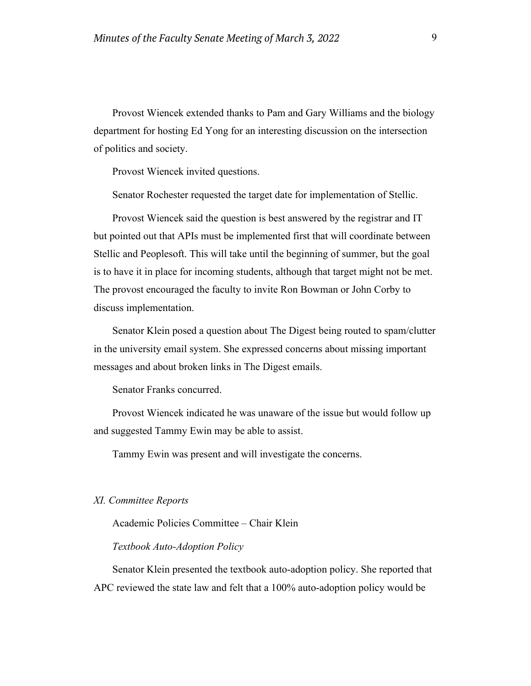Provost Wiencek extended thanks to Pam and Gary Williams and the biology department for hosting Ed Yong for an interesting discussion on the intersection of politics and society.

Provost Wiencek invited questions.

Senator Rochester requested the target date for implementation of Stellic.

Provost Wiencek said the question is best answered by the registrar and IT but pointed out that APIs must be implemented first that will coordinate between Stellic and Peoplesoft. This will take until the beginning of summer, but the goal is to have it in place for incoming students, although that target might not be met. The provost encouraged the faculty to invite Ron Bowman or John Corby to discuss implementation.

Senator Klein posed a question about The Digest being routed to spam/clutter in the university email system. She expressed concerns about missing important messages and about broken links in The Digest emails.

Senator Franks concurred.

Provost Wiencek indicated he was unaware of the issue but would follow up and suggested Tammy Ewin may be able to assist.

Tammy Ewin was present and will investigate the concerns.

#### *XI. Committee Reports*

Academic Policies Committee – Chair Klein

#### *Textbook Auto-Adoption Policy*

Senator Klein presented the textbook auto-adoption policy. She reported that APC reviewed the state law and felt that a 100% auto-adoption policy would be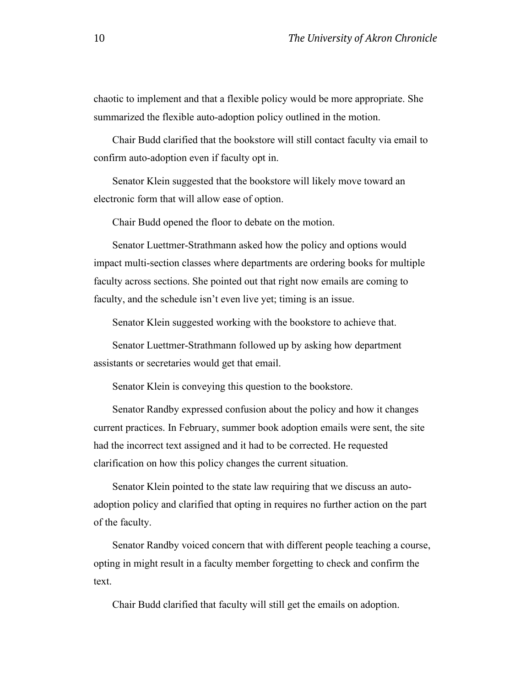chaotic to implement and that a flexible policy would be more appropriate. She summarized the flexible auto-adoption policy outlined in the motion.

Chair Budd clarified that the bookstore will still contact faculty via email to confirm auto-adoption even if faculty opt in.

Senator Klein suggested that the bookstore will likely move toward an electronic form that will allow ease of option.

Chair Budd opened the floor to debate on the motion.

Senator Luettmer-Strathmann asked how the policy and options would impact multi-section classes where departments are ordering books for multiple faculty across sections. She pointed out that right now emails are coming to faculty, and the schedule isn't even live yet; timing is an issue.

Senator Klein suggested working with the bookstore to achieve that.

Senator Luettmer-Strathmann followed up by asking how department assistants or secretaries would get that email.

Senator Klein is conveying this question to the bookstore.

Senator Randby expressed confusion about the policy and how it changes current practices. In February, summer book adoption emails were sent, the site had the incorrect text assigned and it had to be corrected. He requested clarification on how this policy changes the current situation.

Senator Klein pointed to the state law requiring that we discuss an autoadoption policy and clarified that opting in requires no further action on the part of the faculty.

Senator Randby voiced concern that with different people teaching a course, opting in might result in a faculty member forgetting to check and confirm the text.

Chair Budd clarified that faculty will still get the emails on adoption.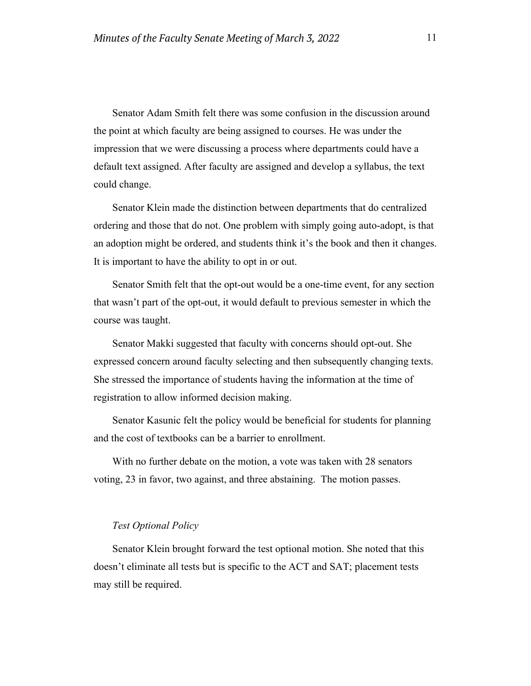Senator Adam Smith felt there was some confusion in the discussion around the point at which faculty are being assigned to courses. He was under the impression that we were discussing a process where departments could have a default text assigned. After faculty are assigned and develop a syllabus, the text could change.

Senator Klein made the distinction between departments that do centralized ordering and those that do not. One problem with simply going auto-adopt, is that an adoption might be ordered, and students think it's the book and then it changes. It is important to have the ability to opt in or out.

Senator Smith felt that the opt-out would be a one-time event, for any section that wasn't part of the opt-out, it would default to previous semester in which the course was taught.

Senator Makki suggested that faculty with concerns should opt-out. She expressed concern around faculty selecting and then subsequently changing texts. She stressed the importance of students having the information at the time of registration to allow informed decision making.

Senator Kasunic felt the policy would be beneficial for students for planning and the cost of textbooks can be a barrier to enrollment.

With no further debate on the motion, a vote was taken with 28 senators voting, 23 in favor, two against, and three abstaining. The motion passes.

#### *Test Optional Policy*

Senator Klein brought forward the test optional motion. She noted that this doesn't eliminate all tests but is specific to the ACT and SAT; placement tests may still be required.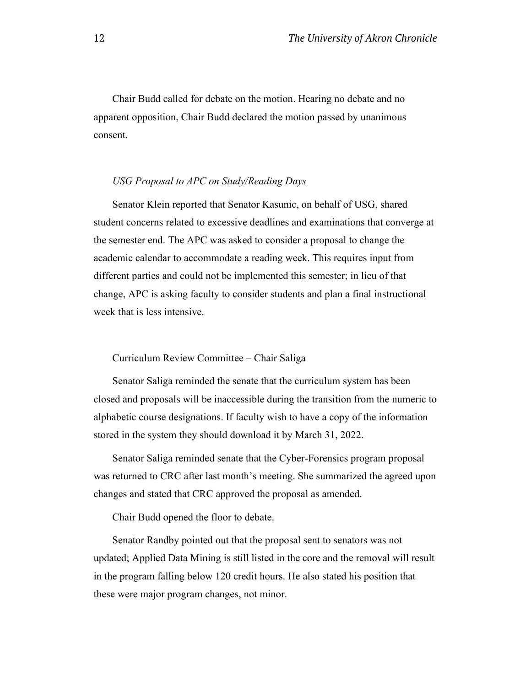Chair Budd called for debate on the motion. Hearing no debate and no apparent opposition, Chair Budd declared the motion passed by unanimous consent.

# *USG Proposal to APC on Study/Reading Days*

Senator Klein reported that Senator Kasunic, on behalf of USG, shared student concerns related to excessive deadlines and examinations that converge at the semester end. The APC was asked to consider a proposal to change the academic calendar to accommodate a reading week. This requires input from different parties and could not be implemented this semester; in lieu of that change, APC is asking faculty to consider students and plan a final instructional week that is less intensive.

## Curriculum Review Committee – Chair Saliga

Senator Saliga reminded the senate that the curriculum system has been closed and proposals will be inaccessible during the transition from the numeric to alphabetic course designations. If faculty wish to have a copy of the information stored in the system they should download it by March 31, 2022.

Senator Saliga reminded senate that the Cyber-Forensics program proposal was returned to CRC after last month's meeting. She summarized the agreed upon changes and stated that CRC approved the proposal as amended.

Chair Budd opened the floor to debate.

Senator Randby pointed out that the proposal sent to senators was not updated; Applied Data Mining is still listed in the core and the removal will result in the program falling below 120 credit hours. He also stated his position that these were major program changes, not minor.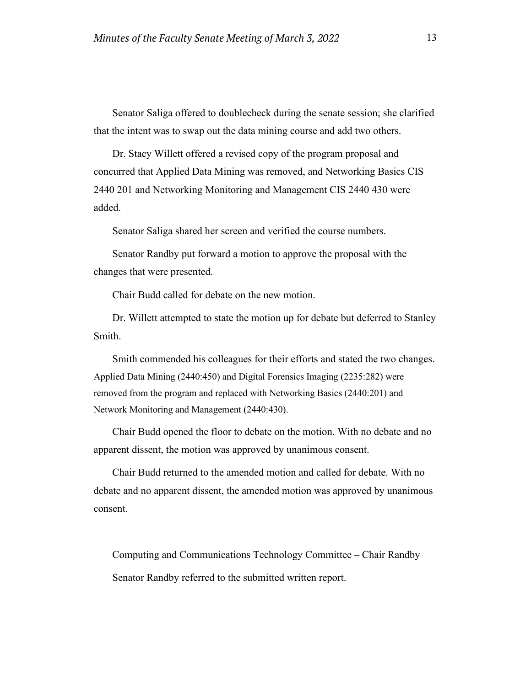Senator Saliga offered to doublecheck during the senate session; she clarified that the intent was to swap out the data mining course and add two others.

Dr. Stacy Willett offered a revised copy of the program proposal and concurred that Applied Data Mining was removed, and Networking Basics CIS 2440 201 and Networking Monitoring and Management CIS 2440 430 were added.

Senator Saliga shared her screen and verified the course numbers.

Senator Randby put forward a motion to approve the proposal with the changes that were presented.

Chair Budd called for debate on the new motion.

Dr. Willett attempted to state the motion up for debate but deferred to Stanley Smith.

Smith commended his colleagues for their efforts and stated the two changes. Applied Data Mining (2440:450) and Digital Forensics Imaging (2235:282) were removed from the program and replaced with Networking Basics (2440:201) and Network Monitoring and Management (2440:430).

Chair Budd opened the floor to debate on the motion. With no debate and no apparent dissent, the motion was approved by unanimous consent.

Chair Budd returned to the amended motion and called for debate. With no debate and no apparent dissent, the amended motion was approved by unanimous consent.

Computing and Communications Technology Committee – Chair Randby Senator Randby referred to the submitted written report.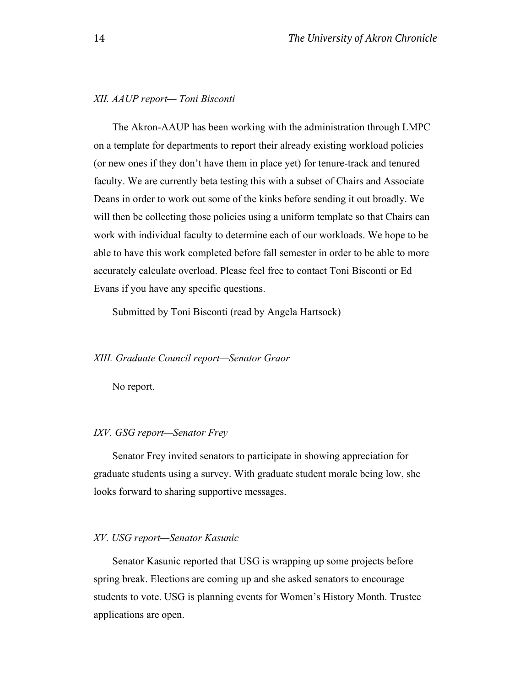# *XII. AAUP report— Toni Bisconti*

The Akron-AAUP has been working with the administration through LMPC on a template for departments to report their already existing workload policies (or new ones if they don't have them in place yet) for tenure-track and tenured faculty. We are currently beta testing this with a subset of Chairs and Associate Deans in order to work out some of the kinks before sending it out broadly. We will then be collecting those policies using a uniform template so that Chairs can work with individual faculty to determine each of our workloads. We hope to be able to have this work completed before fall semester in order to be able to more accurately calculate overload. Please feel free to contact Toni Bisconti or Ed Evans if you have any specific questions.

Submitted by Toni Bisconti (read by Angela Hartsock)

#### *XIII. Graduate Council report—Senator Graor*

No report.

#### *IXV. GSG report—Senator Frey*

Senator Frey invited senators to participate in showing appreciation for graduate students using a survey. With graduate student morale being low, she looks forward to sharing supportive messages.

## *XV. USG report—Senator Kasunic*

Senator Kasunic reported that USG is wrapping up some projects before spring break. Elections are coming up and she asked senators to encourage students to vote. USG is planning events for Women's History Month. Trustee applications are open.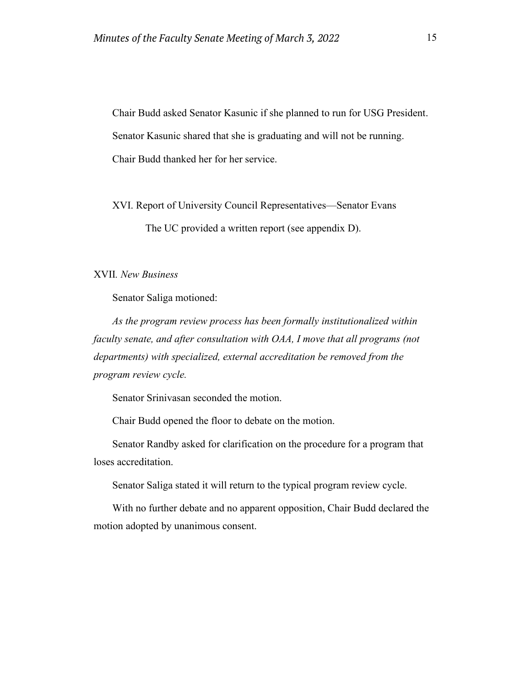Chair Budd asked Senator Kasunic if she planned to run for USG President. Senator Kasunic shared that she is graduating and will not be running. Chair Budd thanked her for her service.

XVI. Report of University Council Representatives—Senator Evans

The UC provided a written report (see appendix D).

#### XVII*. New Business*

Senator Saliga motioned:

*As the program review process has been formally institutionalized within faculty senate, and after consultation with OAA, I move that all programs (not departments) with specialized, external accreditation be removed from the program review cycle.*

Senator Srinivasan seconded the motion.

Chair Budd opened the floor to debate on the motion.

Senator Randby asked for clarification on the procedure for a program that loses accreditation.

Senator Saliga stated it will return to the typical program review cycle.

With no further debate and no apparent opposition, Chair Budd declared the motion adopted by unanimous consent.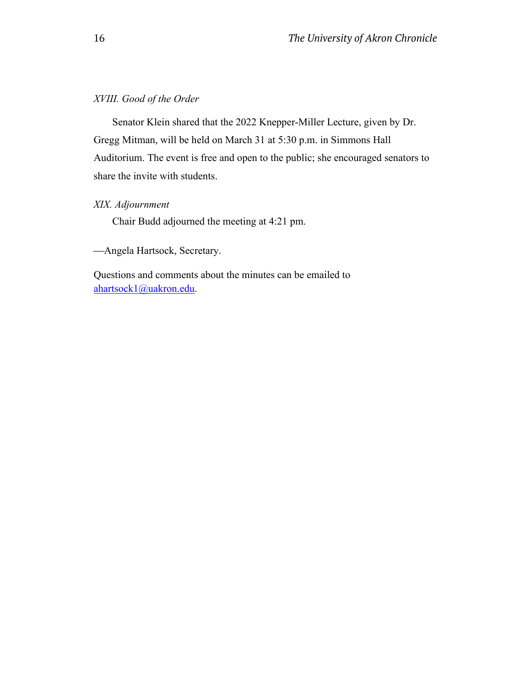# *XVIII. Good of the Order*

Senator Klein shared that the 2022 Knepper-Miller Lecture, given by Dr. Gregg Mitman, will be held on March 31 at 5:30 p.m. in Simmons Hall Auditorium. The event is free and open to the public; she encouraged senators to share the invite with students.

# *XIX. Adjournment*

Chair Budd adjourned the meeting at 4:21 pm.

Angela Hartsock, Secretary.

Questions and comments about the minutes can be emailed to [ahartsock1@uakron.edu.](about:blank)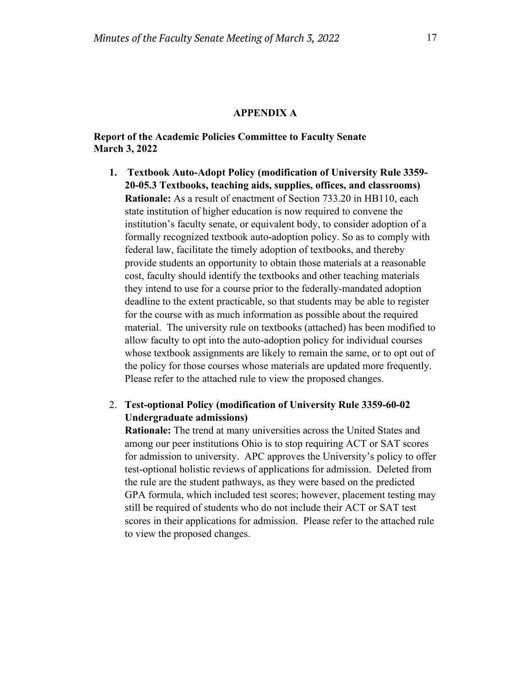#### **APPENDIX A**

## **Report of the Academic Policies Committee to Faculty Senate March 3, 2022**

**1. Textbook Auto-Adopt Policy (modification of University Rule 3359- 20-05.3 Textbooks, teaching aids, supplies, offices, and classrooms) Rationale:** As a result of enactment of Section 733.20 in HB110, each state institution of higher education is now required to convene the institution's faculty senate, or equivalent body, to consider adoption of a formally recognized textbook auto-adoption policy. So as to comply with federal law, facilitate the timely adoption of textbooks, and thereby provide students an opportunity to obtain those materials at a reasonable cost, faculty should identify the textbooks and other teaching materials they intend to use for a course prior to the federally-mandated adoption deadline to the extent practicable, so that students may be able to register for the course with as much information as possible about the required material. The university rule on textbooks (attached) has been modified to allow faculty to opt into the auto-adoption policy for individual courses whose textbook assignments are likely to remain the same, or to opt out of the policy for those courses whose materials are updated more frequently. Please refer to the attached rule to view the proposed changes.

# 2. **Test-optional Policy (modification of University Rule 3359-60-02 Undergraduate admissions)**

**Rationale:** The trend at many universities across the United States and among our peer institutions Ohio is to stop requiring ACT or SAT scores for admission to university. APC approves the University's policy to offer test-optional holistic reviews of applications for admission. Deleted from the rule are the student pathways, as they were based on the predicted GPA formula, which included test scores; however, placement testing may still be required of students who do not include their ACT or SAT test scores in their applications for admission. Please refer to the attached rule to view the proposed changes.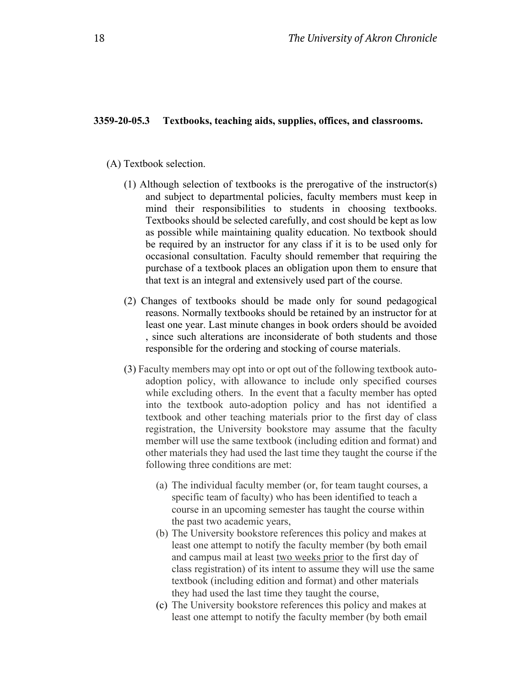#### **3359-20-05.3 Textbooks, teaching aids, supplies, offices, and classrooms.**

- (A) Textbook selection.
	- (1) Although selection of textbooks is the prerogative of the instructor(s) and subject to departmental policies, faculty members must keep in mind their responsibilities to students in choosing textbooks. Textbooks should be selected carefully, and cost should be kept as low as possible while maintaining quality education. No textbook should be required by an instructor for any class if it is to be used only for occasional consultation. Faculty should remember that requiring the purchase of a textbook places an obligation upon them to ensure that that text is an integral and extensively used part of the course.
	- (2) Changes of textbooks should be made only for sound pedagogical reasons. Normally textbooks should be retained by an instructor for at least one year. Last minute changes in book orders should be avoided , since such alterations are inconsiderate of both students and those responsible for the ordering and stocking of course materials.
	- (3) Faculty members may opt into or opt out of the following textbook autoadoption policy, with allowance to include only specified courses while excluding others. In the event that a faculty member has opted into the textbook auto-adoption policy and has not identified a textbook and other teaching materials prior to the first day of class registration, the University bookstore may assume that the faculty member will use the same textbook (including edition and format) and other materials they had used the last time they taught the course if the following three conditions are met:
		- (a) The individual faculty member (or, for team taught courses, a specific team of faculty) who has been identified to teach a course in an upcoming semester has taught the course within the past two academic years,
		- (b) The University bookstore references this policy and makes at least one attempt to notify the faculty member (by both email and campus mail at least two weeks prior to the first day of class registration) of its intent to assume they will use the same textbook (including edition and format) and other materials they had used the last time they taught the course,
		- (c) The University bookstore references this policy and makes at least one attempt to notify the faculty member (by both email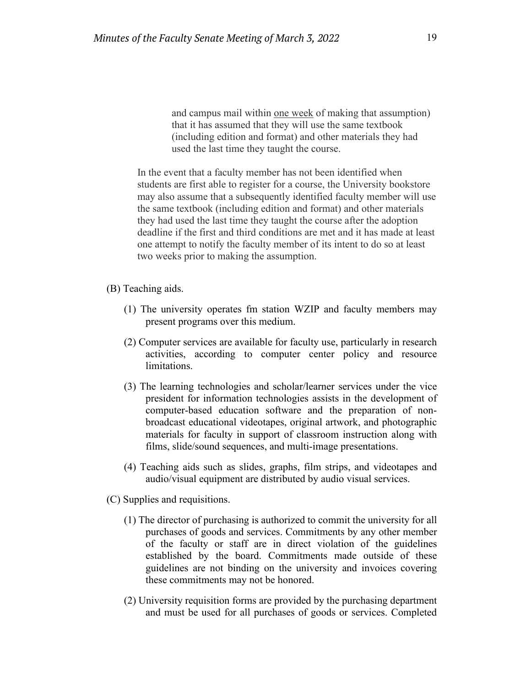and campus mail within one week of making that assumption) that it has assumed that they will use the same textbook (including edition and format) and other materials they had used the last time they taught the course.

In the event that a faculty member has not been identified when students are first able to register for a course, the University bookstore may also assume that a subsequently identified faculty member will use the same textbook (including edition and format) and other materials they had used the last time they taught the course after the adoption deadline if the first and third conditions are met and it has made at least one attempt to notify the faculty member of its intent to do so at least two weeks prior to making the assumption.

- (B) Teaching aids.
	- (1) The university operates fm station WZIP and faculty members may present programs over this medium.
	- (2) Computer services are available for faculty use, particularly in research activities, according to computer center policy and resource limitations.
	- (3) The learning technologies and scholar/learner services under the vice president for information technologies assists in the development of computer-based education software and the preparation of nonbroadcast educational videotapes, original artwork, and photographic materials for faculty in support of classroom instruction along with films, slide/sound sequences, and multi-image presentations.
	- (4) Teaching aids such as slides, graphs, film strips, and videotapes and audio/visual equipment are distributed by audio visual services.
- (C) Supplies and requisitions.
	- (1) The director of purchasing is authorized to commit the university for all purchases of goods and services. Commitments by any other member of the faculty or staff are in direct violation of the guidelines established by the board. Commitments made outside of these guidelines are not binding on the university and invoices covering these commitments may not be honored.
	- (2) University requisition forms are provided by the purchasing department and must be used for all purchases of goods or services. Completed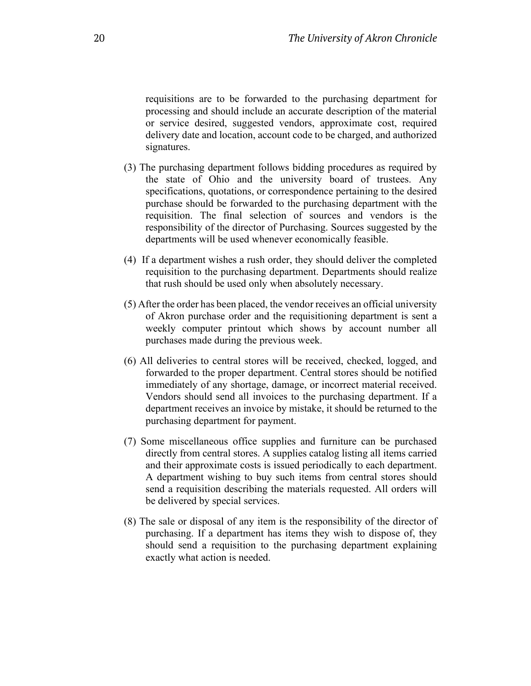requisitions are to be forwarded to the purchasing department for processing and should include an accurate description of the material or service desired, suggested vendors, approximate cost, required delivery date and location, account code to be charged, and authorized signatures.

- (3) The purchasing department follows bidding procedures as required by the state of Ohio and the university board of trustees. Any specifications, quotations, or correspondence pertaining to the desired purchase should be forwarded to the purchasing department with the requisition. The final selection of sources and vendors is the responsibility of the director of Purchasing. Sources suggested by the departments will be used whenever economically feasible.
- (4) If a department wishes a rush order, they should deliver the completed requisition to the purchasing department. Departments should realize that rush should be used only when absolutely necessary.
- (5) After the order has been placed, the vendor receives an official university of Akron purchase order and the requisitioning department is sent a weekly computer printout which shows by account number all purchases made during the previous week.
- (6) All deliveries to central stores will be received, checked, logged, and forwarded to the proper department. Central stores should be notified immediately of any shortage, damage, or incorrect material received. Vendors should send all invoices to the purchasing department. If a department receives an invoice by mistake, it should be returned to the purchasing department for payment.
- (7) Some miscellaneous office supplies and furniture can be purchased directly from central stores. A supplies catalog listing all items carried and their approximate costs is issued periodically to each department. A department wishing to buy such items from central stores should send a requisition describing the materials requested. All orders will be delivered by special services.
- (8) The sale or disposal of any item is the responsibility of the director of purchasing. If a department has items they wish to dispose of, they should send a requisition to the purchasing department explaining exactly what action is needed.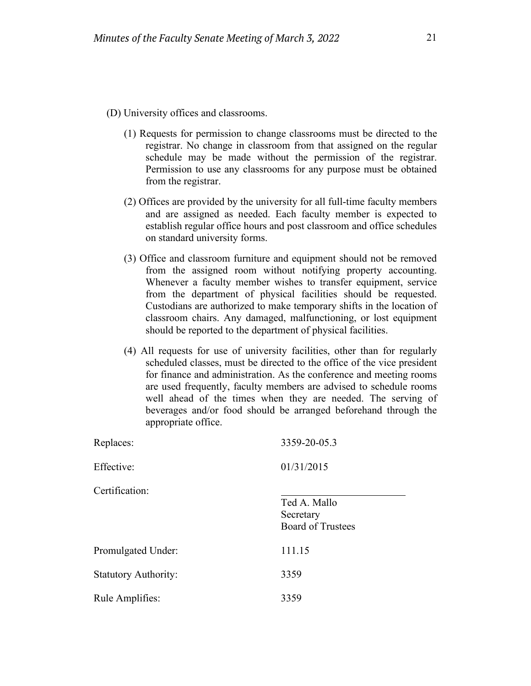- (D) University offices and classrooms.
	- (1) Requests for permission to change classrooms must be directed to the registrar. No change in classroom from that assigned on the regular schedule may be made without the permission of the registrar. Permission to use any classrooms for any purpose must be obtained from the registrar.
	- (2) Offices are provided by the university for all full-time faculty members and are assigned as needed. Each faculty member is expected to establish regular office hours and post classroom and office schedules on standard university forms.
	- (3) Office and classroom furniture and equipment should not be removed from the assigned room without notifying property accounting. Whenever a faculty member wishes to transfer equipment, service from the department of physical facilities should be requested. Custodians are authorized to make temporary shifts in the location of classroom chairs. Any damaged, malfunctioning, or lost equipment should be reported to the department of physical facilities.
	- (4) All requests for use of university facilities, other than for regularly scheduled classes, must be directed to the office of the vice president for finance and administration. As the conference and meeting rooms are used frequently, faculty members are advised to schedule rooms well ahead of the times when they are needed. The serving of beverages and/or food should be arranged beforehand through the appropriate office.

| Replaces:                   | 3359-20-05.3                                          |
|-----------------------------|-------------------------------------------------------|
| Effective:                  | 01/31/2015                                            |
| Certification:              | Ted A. Mallo<br>Secretary<br><b>Board of Trustees</b> |
| Promulgated Under:          | 111.15                                                |
| <b>Statutory Authority:</b> | 3359                                                  |
| Rule Amplifies:             | 3359                                                  |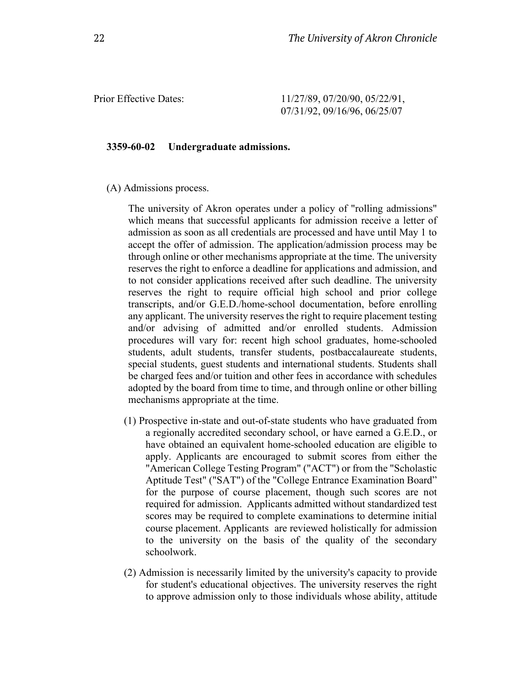Prior Effective Dates: 11/27/89, 07/20/90, 05/22/91, 07/31/92, 09/16/96, 06/25/07

#### **3359-60-02 Undergraduate admissions.**

(A) Admissions process.

The university of Akron operates under a policy of "rolling admissions" which means that successful applicants for admission receive a letter of admission as soon as all credentials are processed and have until May 1 to accept the offer of admission. The application/admission process may be through online or other mechanisms appropriate at the time. The university reserves the right to enforce a deadline for applications and admission, and to not consider applications received after such deadline. The university reserves the right to require official high school and prior college transcripts, and/or G.E.D./home-school documentation, before enrolling any applicant. The university reserves the right to require placement testing and/or advising of admitted and/or enrolled students. Admission procedures will vary for: recent high school graduates, home-schooled students, adult students, transfer students, postbaccalaureate students, special students, guest students and international students. Students shall be charged fees and/or tuition and other fees in accordance with schedules adopted by the board from time to time, and through online or other billing mechanisms appropriate at the time.

- (1) Prospective in-state and out-of-state students who have graduated from a regionally accredited secondary school, or have earned a G.E.D., or have obtained an equivalent home-schooled education are eligible to apply. Applicants are encouraged to submit scores from either the "American College Testing Program" ("ACT") or from the "Scholastic Aptitude Test" ("SAT") of the "College Entrance Examination Board" for the purpose of course placement, though such scores are not required for admission. Applicants admitted without standardized test scores may be required to complete examinations to determine initial course placement. Applicants are reviewed holistically for admission to the university on the basis of the quality of the secondary schoolwork.
- (2) Admission is necessarily limited by the university's capacity to provide for student's educational objectives. The university reserves the right to approve admission only to those individuals whose ability, attitude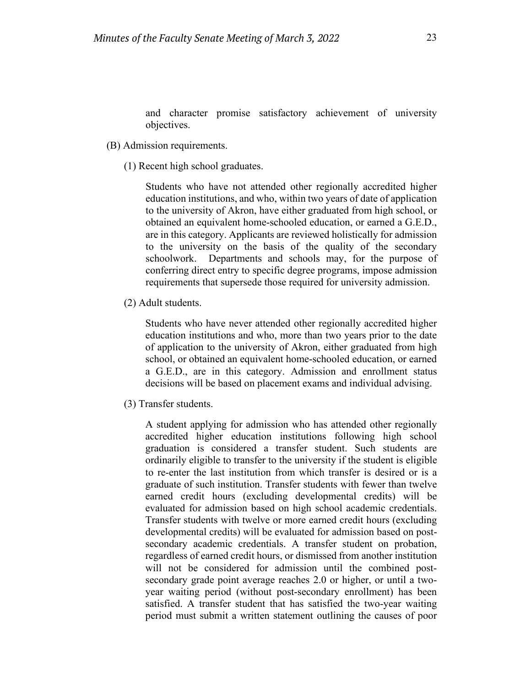and character promise satisfactory achievement of university objectives.

- (B) Admission requirements.
	- (1) Recent high school graduates.

Students who have not attended other regionally accredited higher education institutions, and who, within two years of date of application to the university of Akron, have either graduated from high school, or obtained an equivalent home-schooled education, or earned a G.E.D., are in this category. Applicants are reviewed holistically for admission to the university on the basis of the quality of the secondary schoolwork. Departments and schools may, for the purpose of conferring direct entry to specific degree programs, impose admission requirements that supersede those required for university admission.

(2) Adult students.

Students who have never attended other regionally accredited higher education institutions and who, more than two years prior to the date of application to the university of Akron, either graduated from high school, or obtained an equivalent home-schooled education, or earned a G.E.D., are in this category. Admission and enrollment status decisions will be based on placement exams and individual advising.

(3) Transfer students.

A student applying for admission who has attended other regionally accredited higher education institutions following high school graduation is considered a transfer student. Such students are ordinarily eligible to transfer to the university if the student is eligible to re-enter the last institution from which transfer is desired or is a graduate of such institution. Transfer students with fewer than twelve earned credit hours (excluding developmental credits) will be evaluated for admission based on high school academic credentials. Transfer students with twelve or more earned credit hours (excluding developmental credits) will be evaluated for admission based on postsecondary academic credentials. A transfer student on probation, regardless of earned credit hours, or dismissed from another institution will not be considered for admission until the combined postsecondary grade point average reaches 2.0 or higher, or until a twoyear waiting period (without post-secondary enrollment) has been satisfied. A transfer student that has satisfied the two-year waiting period must submit a written statement outlining the causes of poor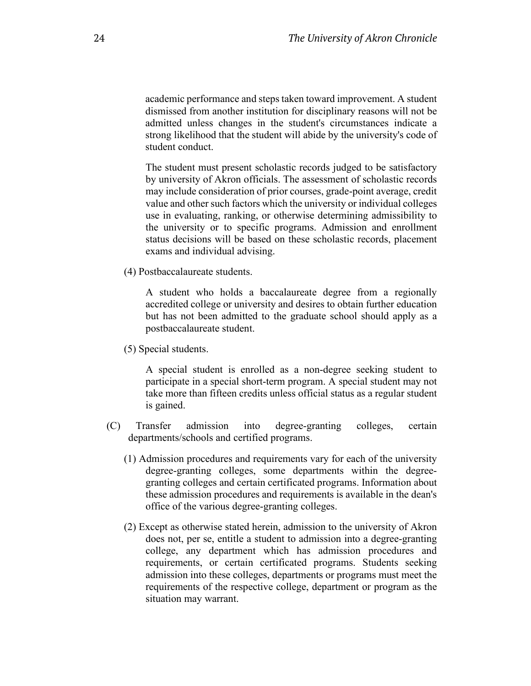academic performance and steps taken toward improvement. A student dismissed from another institution for disciplinary reasons will not be admitted unless changes in the student's circumstances indicate a strong likelihood that the student will abide by the university's code of student conduct.

The student must present scholastic records judged to be satisfactory by university of Akron officials. The assessment of scholastic records may include consideration of prior courses, grade-point average, credit value and other such factors which the university or individual colleges use in evaluating, ranking, or otherwise determining admissibility to the university or to specific programs. Admission and enrollment status decisions will be based on these scholastic records, placement exams and individual advising.

(4) Postbaccalaureate students.

A student who holds a baccalaureate degree from a regionally accredited college or university and desires to obtain further education but has not been admitted to the graduate school should apply as a postbaccalaureate student.

(5) Special students.

A special student is enrolled as a non-degree seeking student to participate in a special short-term program. A special student may not take more than fifteen credits unless official status as a regular student is gained.

- (C) Transfer admission into degree-granting colleges, certain departments/schools and certified programs.
	- (1) Admission procedures and requirements vary for each of the university degree-granting colleges, some departments within the degreegranting colleges and certain certificated programs. Information about these admission procedures and requirements is available in the dean's office of the various degree-granting colleges.
	- (2) Except as otherwise stated herein, admission to the university of Akron does not, per se, entitle a student to admission into a degree-granting college, any department which has admission procedures and requirements, or certain certificated programs. Students seeking admission into these colleges, departments or programs must meet the requirements of the respective college, department or program as the situation may warrant.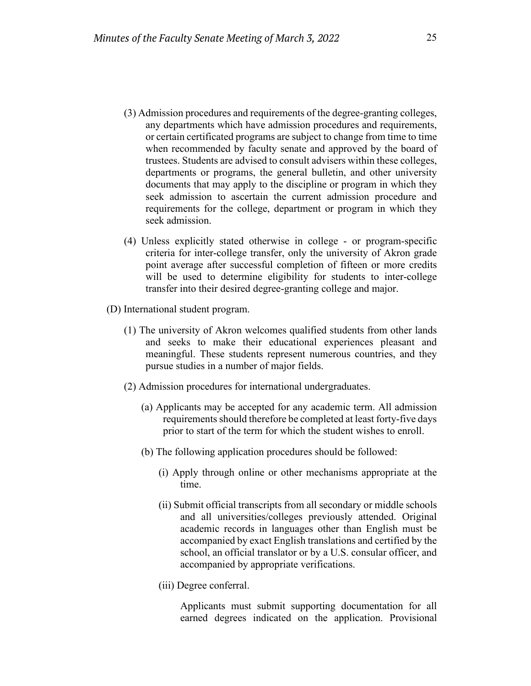- (3) Admission procedures and requirements of the degree-granting colleges, any departments which have admission procedures and requirements, or certain certificated programs are subject to change from time to time when recommended by faculty senate and approved by the board of trustees. Students are advised to consult advisers within these colleges, departments or programs, the general bulletin, and other university documents that may apply to the discipline or program in which they seek admission to ascertain the current admission procedure and requirements for the college, department or program in which they seek admission.
- (4) Unless explicitly stated otherwise in college or program-specific criteria for inter-college transfer, only the university of Akron grade point average after successful completion of fifteen or more credits will be used to determine eligibility for students to inter-college transfer into their desired degree-granting college and major.
- (D) International student program.
	- (1) The university of Akron welcomes qualified students from other lands and seeks to make their educational experiences pleasant and meaningful. These students represent numerous countries, and they pursue studies in a number of major fields.
	- (2) Admission procedures for international undergraduates.
		- (a) Applicants may be accepted for any academic term. All admission requirements should therefore be completed at least forty-five days prior to start of the term for which the student wishes to enroll.
		- (b) The following application procedures should be followed:
			- (i) Apply through online or other mechanisms appropriate at the time.
			- (ii) Submit official transcripts from all secondary or middle schools and all universities/colleges previously attended. Original academic records in languages other than English must be accompanied by exact English translations and certified by the school, an official translator or by a U.S. consular officer, and accompanied by appropriate verifications.
			- (iii) Degree conferral.

Applicants must submit supporting documentation for all earned degrees indicated on the application. Provisional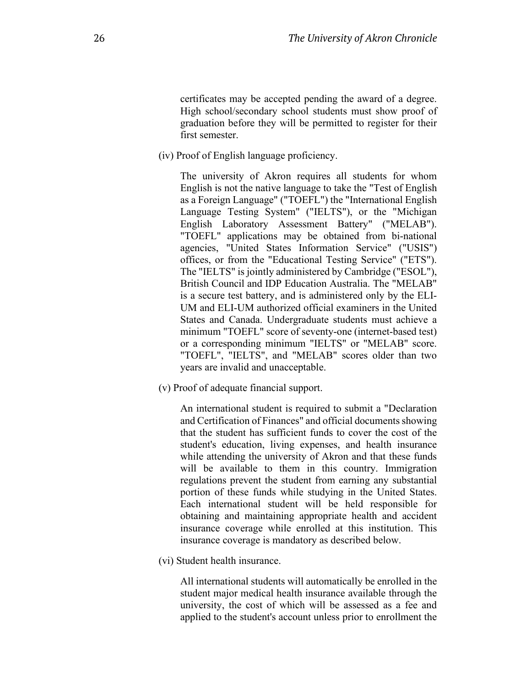certificates may be accepted pending the award of a degree. High school/secondary school students must show proof of graduation before they will be permitted to register for their first semester.

(iv) Proof of English language proficiency.

The university of Akron requires all students for whom English is not the native language to take the "Test of English as a Foreign Language" ("TOEFL") the "International English Language Testing System" ("IELTS"), or the "Michigan English Laboratory Assessment Battery" ("MELAB"). "TOEFL" applications may be obtained from bi-national agencies, "United States Information Service" ("USIS") offices, or from the "Educational Testing Service" ("ETS"). The "IELTS" is jointly administered by Cambridge ("ESOL"), British Council and IDP Education Australia. The "MELAB" is a secure test battery, and is administered only by the ELI-UM and ELI-UM authorized official examiners in the United States and Canada. Undergraduate students must achieve a minimum "TOEFL" score of seventy-one (internet-based test) or a corresponding minimum "IELTS" or "MELAB" score. "TOEFL", "IELTS", and "MELAB" scores older than two years are invalid and unacceptable.

(v) Proof of adequate financial support.

An international student is required to submit a "Declaration and Certification of Finances" and official documents showing that the student has sufficient funds to cover the cost of the student's education, living expenses, and health insurance while attending the university of Akron and that these funds will be available to them in this country. Immigration regulations prevent the student from earning any substantial portion of these funds while studying in the United States. Each international student will be held responsible for obtaining and maintaining appropriate health and accident insurance coverage while enrolled at this institution. This insurance coverage is mandatory as described below.

(vi) Student health insurance.

All international students will automatically be enrolled in the student major medical health insurance available through the university, the cost of which will be assessed as a fee and applied to the student's account unless prior to enrollment the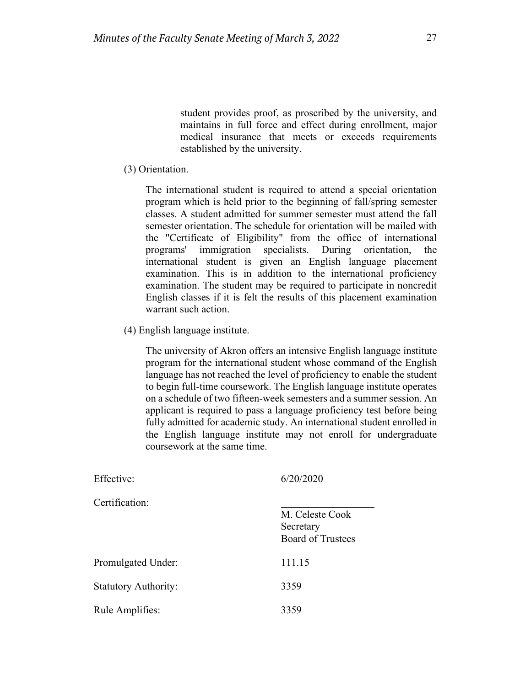student provides proof, as proscribed by the university, and maintains in full force and effect during enrollment, major medical insurance that meets or exceeds requirements established by the university.

(3) Orientation.

The international student is required to attend a special orientation program which is held prior to the beginning of fall/spring semester classes. A student admitted for summer semester must attend the fall semester orientation. The schedule for orientation will be mailed with the "Certificate of Eligibility" from the office of international programs' immigration specialists. During orientation, the international student is given an English language placement examination. This is in addition to the international proficiency examination. The student may be required to participate in noncredit English classes if it is felt the results of this placement examination warrant such action.

(4) English language institute.

The university of Akron offers an intensive English language institute program for the international student whose command of the English language has not reached the level of proficiency to enable the student to begin full-time coursework. The English language institute operates on a schedule of two fifteen-week semesters and a summer session. An applicant is required to pass a language proficiency test before being fully admitted for academic study. An international student enrolled in the English language institute may not enroll for undergraduate coursework at the same time.

| 6/20/2020                             |
|---------------------------------------|
|                                       |
| M. Celeste Cook                       |
| Secretary<br><b>Board of Trustees</b> |
|                                       |
| 111.15                                |
| 3359                                  |
| 3359                                  |
|                                       |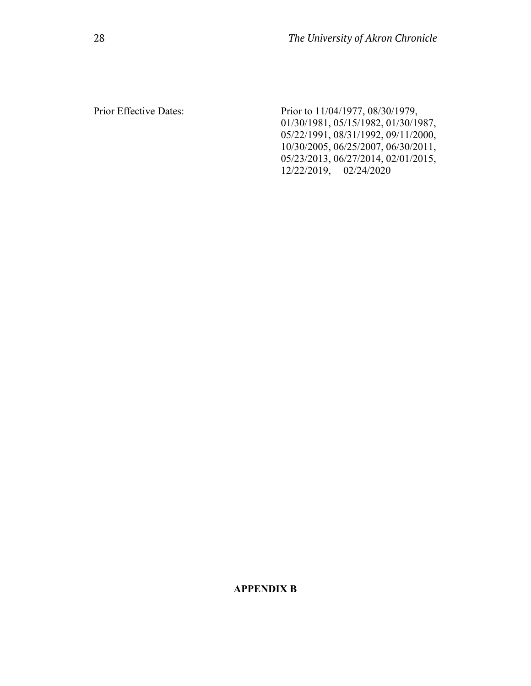Prior Effective Dates: Prior to 11/04/1977, 08/30/1979, 01/30/1981, 05/15/1982, 01/30/1987, 05/22/1991, 08/31/1992, 09/11/2000, 10/30/2005, 06/25/2007, 06/30/2011, 05/23/2013, 06/27/2014, 02/01/2015, 12/22/2019, 02/24/2020

# **APPENDIX B**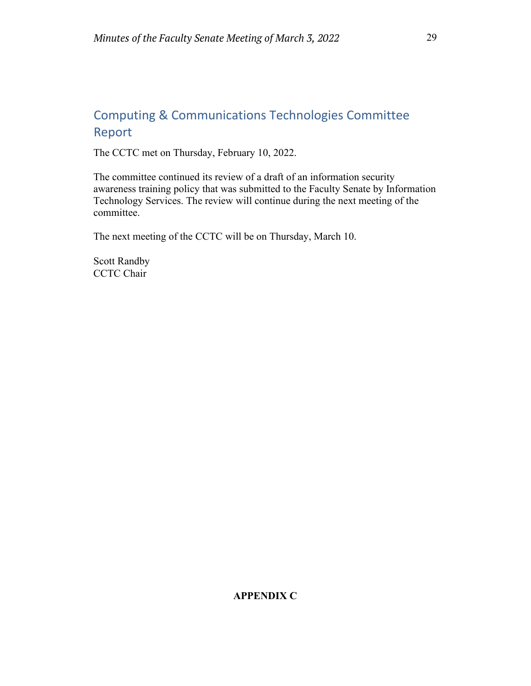# Computing & Communications Technologies Committee Report

The CCTC met on Thursday, February 10, 2022.

The committee continued its review of a draft of an information security awareness training policy that was submitted to the Faculty Senate by Information Technology Services. The review will continue during the next meeting of the committee.

The next meeting of the CCTC will be on Thursday, March 10.

Scott Randby CCTC Chair

# **APPENDIX C**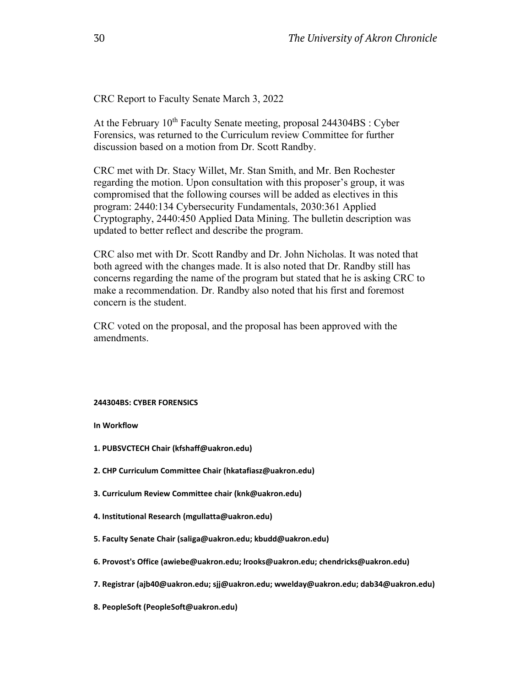CRC Report to Faculty Senate March 3, 2022

At the February  $10^{th}$  Faculty Senate meeting, proposal 244304BS : Cyber Forensics, was returned to the Curriculum review Committee for further discussion based on a motion from Dr. Scott Randby.

CRC met with Dr. Stacy Willet, Mr. Stan Smith, and Mr. Ben Rochester regarding the motion. Upon consultation with this proposer's group, it was compromised that the following courses will be added as electives in this program: 2440:134 Cybersecurity Fundamentals, 2030:361 Applied Cryptography, 2440:450 Applied Data Mining. The bulletin description was updated to better reflect and describe the program.

CRC also met with Dr. Scott Randby and Dr. John Nicholas. It was noted that both agreed with the changes made. It is also noted that Dr. Randby still has concerns regarding the name of the program but stated that he is asking CRC to make a recommendation. Dr. Randby also noted that his first and foremost concern is the student.

CRC voted on the proposal, and the proposal has been approved with the amendments.

#### **244304BS: CYBER FORENSICS**

**In Workflow**

- **1. PUBSVCTECH Chair (kfshaff@uakron.edu)**
- **2. CHP Curriculum Committee Chair (hkatafiasz@uakron.edu)**
- **3. Curriculum Review Committee chair (knk@uakron.edu)**
- **4. Institutional Research (mgullatta@uakron.edu)**
- **5. Faculty Senate Chair (saliga@uakron.edu; kbudd@uakron.edu)**
- **6. Provost's Office (awiebe@uakron.edu; lrooks@uakron.edu; chendricks@uakron.edu)**
- **7. Registrar (ajb40@uakron.edu; sjj@uakron.edu; wwelday@uakron.edu; dab34@uakron.edu)**
- **8. PeopleSoft (PeopleSoft@uakron.edu)**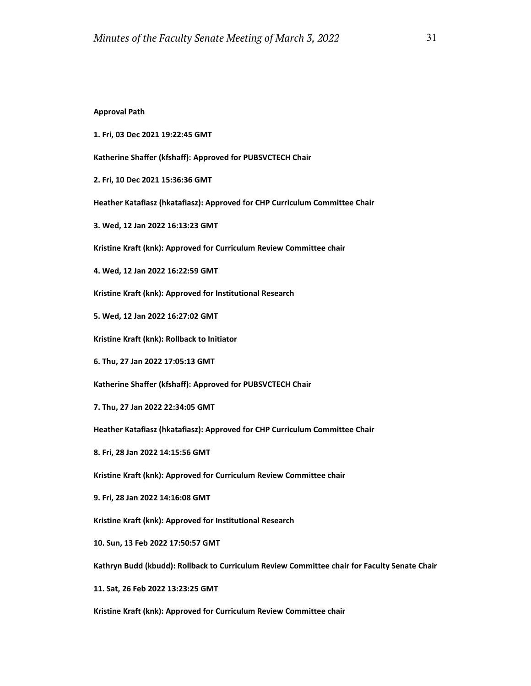#### **Approval Path**

**1. Fri, 03 Dec 2021 19:22:45 GMT**

**Katherine Shaffer (kfshaff): Approved for PUBSVCTECH Chair**

**2. Fri, 10 Dec 2021 15:36:36 GMT**

**Heather Katafiasz (hkatafiasz): Approved for CHP Curriculum Committee Chair**

**3. Wed, 12 Jan 2022 16:13:23 GMT**

**Kristine Kraft (knk): Approved for Curriculum Review Committee chair**

**4. Wed, 12 Jan 2022 16:22:59 GMT**

**Kristine Kraft (knk): Approved for Institutional Research**

**5. Wed, 12 Jan 2022 16:27:02 GMT**

**Kristine Kraft (knk): Rollback to Initiator**

**6. Thu, 27 Jan 2022 17:05:13 GMT**

**Katherine Shaffer (kfshaff): Approved for PUBSVCTECH Chair**

**7. Thu, 27 Jan 2022 22:34:05 GMT**

**Heather Katafiasz (hkatafiasz): Approved for CHP Curriculum Committee Chair**

**8. Fri, 28 Jan 2022 14:15:56 GMT**

**Kristine Kraft (knk): Approved for Curriculum Review Committee chair**

**9. Fri, 28 Jan 2022 14:16:08 GMT**

**Kristine Kraft (knk): Approved for Institutional Research**

**10. Sun, 13 Feb 2022 17:50:57 GMT**

**Kathryn Budd (kbudd): Rollback to Curriculum Review Committee chair for Faculty Senate Chair**

**11. Sat, 26 Feb 2022 13:23:25 GMT**

**Kristine Kraft (knk): Approved for Curriculum Review Committee chair**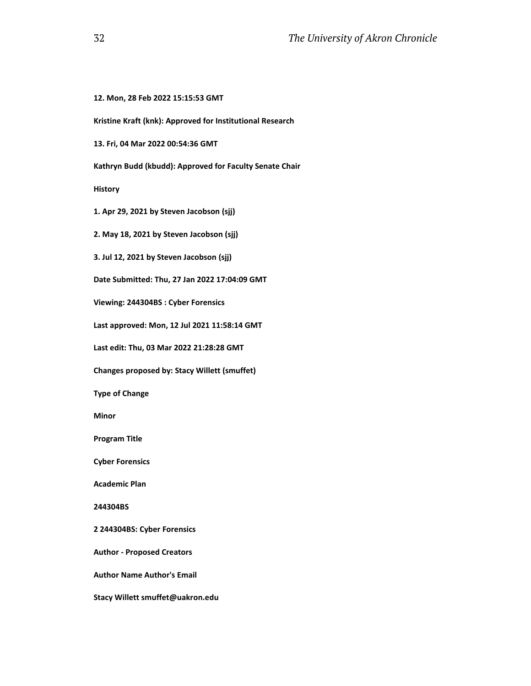```
12. Mon, 28 Feb 2022 15:15:53 GMT
Kristine Kraft (knk): Approved for Institutional Research
13. Fri, 04 Mar 2022 00:54:36 GMT
Kathryn Budd (kbudd): Approved for Faculty Senate Chair
History
1. Apr 29, 2021 by Steven Jacobson (sjj)
2. May 18, 2021 by Steven Jacobson (sjj)
3. Jul 12, 2021 by Steven Jacobson (sjj)
Date Submitted: Thu, 27 Jan 2022 17:04:09 GMT
Viewing: 244304BS : Cyber Forensics
Last approved: Mon, 12 Jul 2021 11:58:14 GMT
Last edit: Thu, 03 Mar 2022 21:28:28 GMT
Changes proposed by: Stacy Willett (smuffet)
Type of Change
Minor
Program Title
Cyber Forensics
Academic Plan
244304BS
2 244304BS: Cyber Forensics
Author - Proposed Creators
Author Name Author's Email
Stacy Willett smuffet@uakron.edu
```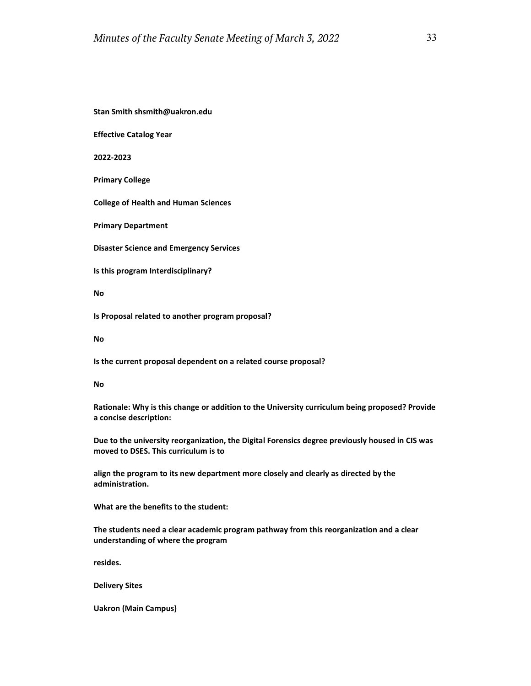**Stan Smith shsmith@uakron.edu**

**Effective Catalog Year**

**2022-2023**

**Primary College**

**College of Health and Human Sciences**

**Primary Department**

**Disaster Science and Emergency Services**

**Is this program Interdisciplinary?**

**No**

**Is Proposal related to another program proposal?**

**No**

**Is the current proposal dependent on a related course proposal?**

**No**

**Rationale: Why is this change or addition to the University curriculum being proposed? Provide a concise description:**

**Due to the university reorganization, the Digital Forensics degree previously housed in CIS was moved to DSES. This curriculum is to**

**align the program to its new department more closely and clearly as directed by the administration.**

**What are the benefits to the student:**

**The students need a clear academic program pathway from this reorganization and a clear understanding of where the program**

**resides.**

**Delivery Sites**

**Uakron (Main Campus)**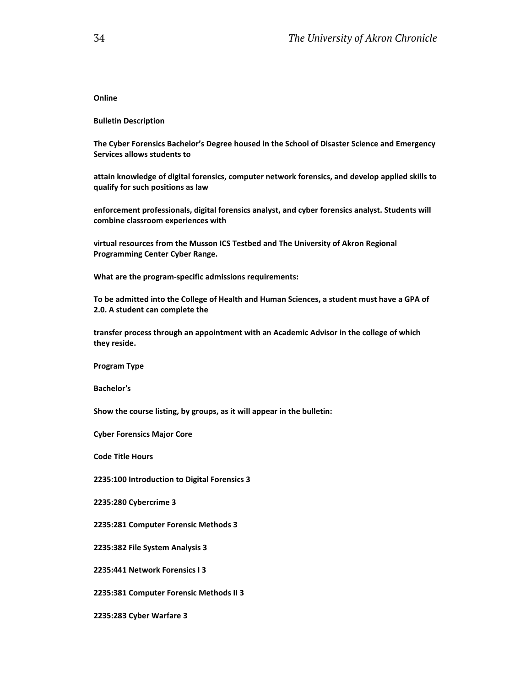**Online**

**Bulletin Description**

**The Cyber Forensics Bachelor's Degree housed in the School of Disaster Science and Emergency Services allows students to**

**attain knowledge of digital forensics, computer network forensics, and develop applied skills to qualify for such positions as law**

**enforcement professionals, digital forensics analyst, and cyber forensics analyst. Students will combine classroom experiences with**

**virtual resources from the Musson ICS Testbed and The University of Akron Regional Programming Center Cyber Range.**

**What are the program-specific admissions requirements:**

**To be admitted into the College of Health and Human Sciences, a student must have a GPA of 2.0. A student can complete the**

**transfer process through an appointment with an Academic Advisor in the college of which they reside.**

**Program Type**

**Bachelor's**

**Show the course listing, by groups, as it will appear in the bulletin:**

**Cyber Forensics Major Core**

**Code Title Hours**

**2235:100 Introduction to Digital Forensics 3**

**2235:280 Cybercrime 3**

**2235:281 Computer Forensic Methods 3**

**2235:382 File System Analysis 3**

**2235:441 Network Forensics I 3**

**2235:381 Computer Forensic Methods II 3**

**2235:283 Cyber Warfare 3**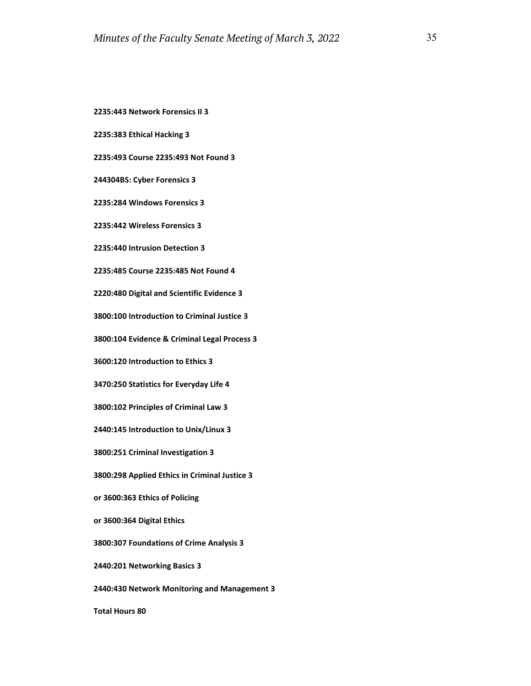**2235:443 Network Forensics II 3**

**2235:383 Ethical Hacking 3**

**2235:493 Course 2235:493 Not Found 3**

**244304BS: Cyber Forensics 3**

**2235:284 Windows Forensics 3**

**2235:442 Wireless Forensics 3**

**2235:440 Intrusion Detection 3**

**2235:485 Course 2235:485 Not Found 4**

**2220:480 Digital and Scientific Evidence 3**

**3800:100 Introduction to Criminal Justice 3**

**3800:104 Evidence & Criminal Legal Process 3**

**3600:120 Introduction to Ethics 3**

**3470:250 Statistics for Everyday Life 4**

**3800:102 Principles of Criminal Law 3**

**2440:145 Introduction to Unix/Linux 3**

**3800:251 Criminal Investigation 3**

**3800:298 Applied Ethics in Criminal Justice 3**

**or 3600:363 Ethics of Policing**

**or 3600:364 Digital Ethics**

**3800:307 Foundations of Crime Analysis 3**

**2440:201 Networking Basics 3**

**2440:430 Network Monitoring and Management 3**

**Total Hours 80**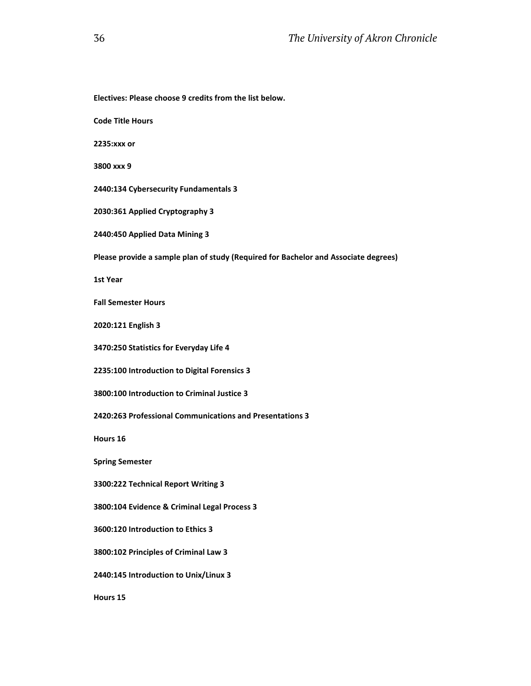```
Electives: Please choose 9 credits from the list below.
Code Title Hours
2235:xxx or
3800 xxx 9
2440:134 Cybersecurity Fundamentals 3
2030:361 Applied Cryptography 3
2440:450 Applied Data Mining 3
Please provide a sample plan of study (Required for Bachelor and Associate degrees)
1st Year 
Fall Semester Hours
2020:121 English 3
3470:250 Statistics for Everyday Life 4
2235:100 Introduction to Digital Forensics 3
3800:100 Introduction to Criminal Justice 3
2420:263 Professional Communications and Presentations 3
Hours 16
Spring Semester
3300:222 Technical Report Writing 3
3800:104 Evidence & Criminal Legal Process 3
3600:120 Introduction to Ethics 3
3800:102 Principles of Criminal Law 3
2440:145 Introduction to Unix/Linux 3
Hours 15
```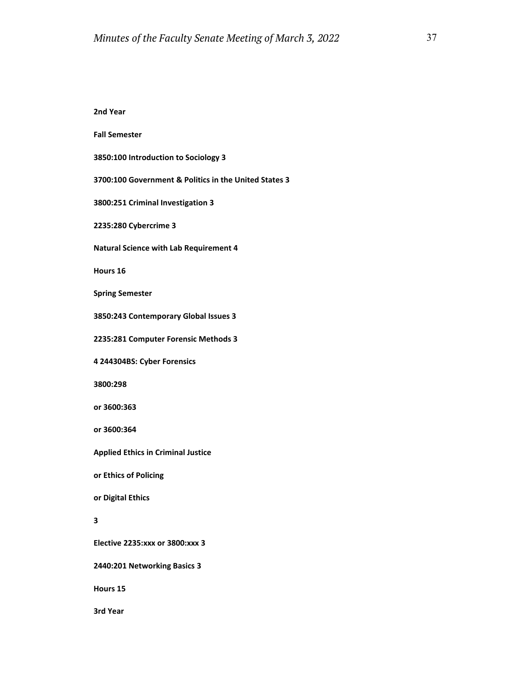**2nd Year Fall Semester 3850:100 Introduction to Sociology 3 3700:100 Government & Politics in the United States 3 3800:251 Criminal Investigation 3 2235:280 Cybercrime 3 Natural Science with Lab Requirement 4 Hours 16 Spring Semester 3850:243 Contemporary Global Issues 3 2235:281 Computer Forensic Methods 3 4 244304BS: Cyber Forensics 3800:298 or 3600:363 or 3600:364 Applied Ethics in Criminal Justice or Ethics of Policing or Digital Ethics 3 Elective 2235:xxx or 3800:xxx 3 2440:201 Networking Basics 3 Hours 15 3rd Year**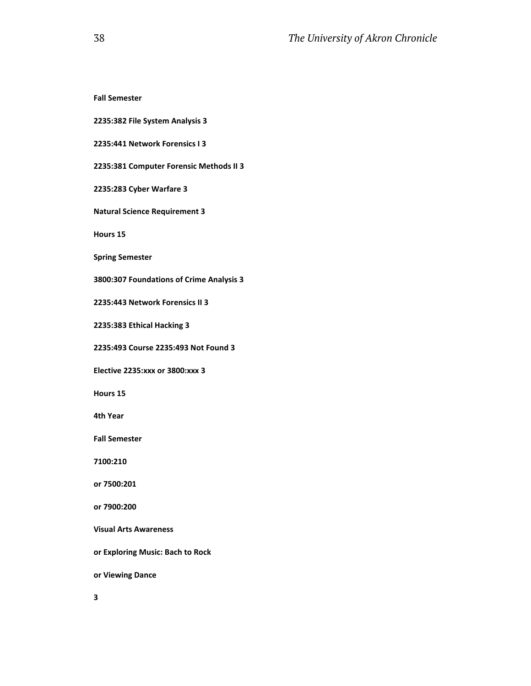**Fall Semester**

**2235:382 File System Analysis 3**

**2235:441 Network Forensics I 3**

**2235:381 Computer Forensic Methods II 3**

**2235:283 Cyber Warfare 3**

**Natural Science Requirement 3**

**Hours 15**

**Spring Semester**

**3800:307 Foundations of Crime Analysis 3**

**2235:443 Network Forensics II 3**

**2235:383 Ethical Hacking 3**

**2235:493 Course 2235:493 Not Found 3**

**Elective 2235:xxx or 3800:xxx 3**

**Hours 15**

**4th Year**

**Fall Semester**

**7100:210**

**or 7500:201**

**or 7900:200**

**Visual Arts Awareness**

**or Exploring Music: Bach to Rock**

**or Viewing Dance**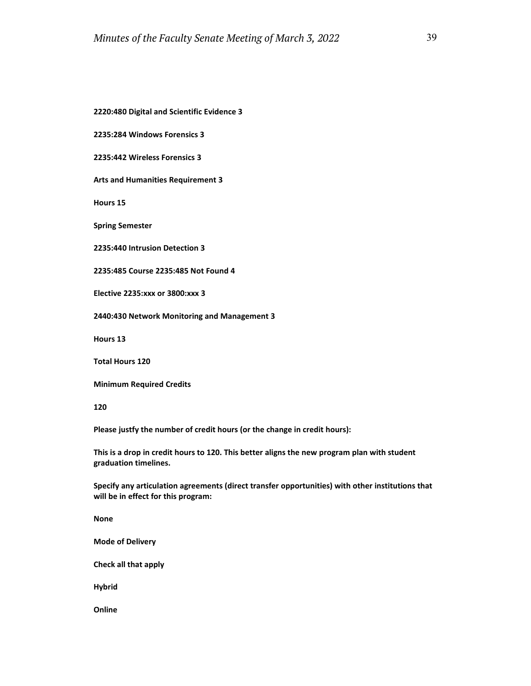**2220:480 Digital and Scientific Evidence 3**

**2235:284 Windows Forensics 3**

**2235:442 Wireless Forensics 3**

**Arts and Humanities Requirement 3**

**Hours 15**

**Spring Semester**

**2235:440 Intrusion Detection 3**

**2235:485 Course 2235:485 Not Found 4**

**Elective 2235:xxx or 3800:xxx 3**

**2440:430 Network Monitoring and Management 3**

**Hours 13**

**Total Hours 120**

**Minimum Required Credits**

**120**

**Please justfy the number of credit hours (or the change in credit hours):**

**This is a drop in credit hours to 120. This better aligns the new program plan with student graduation timelines.**

**Specify any articulation agreements (direct transfer opportunities) with other institutions that will be in effect for this program:**

**None**

**Mode of Delivery**

**Check all that apply**

**Hybrid**

**Online**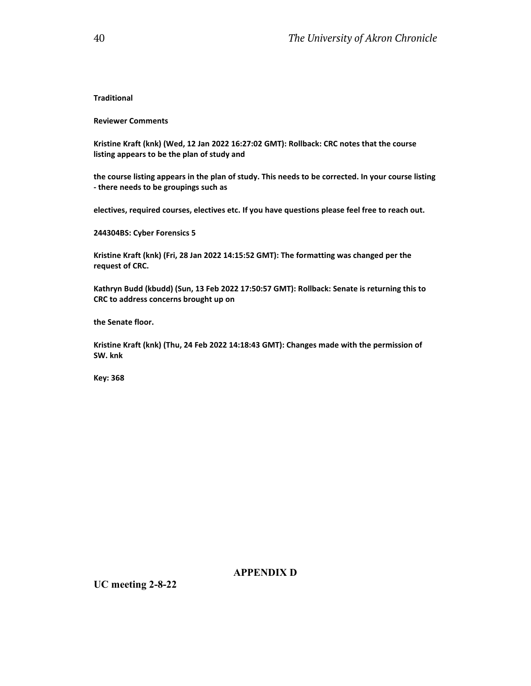#### **Traditional**

#### **Reviewer Comments**

**Kristine Kraft (knk) (Wed, 12 Jan 2022 16:27:02 GMT): Rollback: CRC notes that the course listing appears to be the plan of study and**

**the course listing appears in the plan of study. This needs to be corrected. In your course listing - there needs to be groupings such as** 

**electives, required courses, electives etc. If you have questions please feel free to reach out.**

**244304BS: Cyber Forensics 5**

**Kristine Kraft (knk) (Fri, 28 Jan 2022 14:15:52 GMT): The formatting was changed per the request of CRC.**

**Kathryn Budd (kbudd) (Sun, 13 Feb 2022 17:50:57 GMT): Rollback: Senate is returning this to CRC to address concerns brought up on**

**the Senate floor.**

**Kristine Kraft (knk) (Thu, 24 Feb 2022 14:18:43 GMT): Changes made with the permission of SW. knk**

**Key: 368**

## **APPENDIX D**

**UC meeting 2-8-22**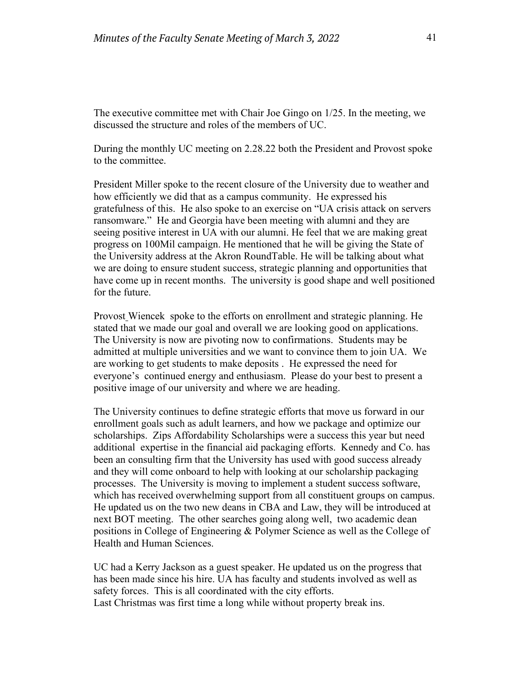The executive committee met with Chair Joe Gingo on 1/25. In the meeting, we discussed the structure and roles of the members of UC.

During the monthly UC meeting on 2.28.22 both the President and Provost spoke to the committee.

President Miller spoke to the recent closure of the University due to weather and how efficiently we did that as a campus community. He expressed his gratefulness of this. He also spoke to an exercise on "UA crisis attack on servers ransomware." He and Georgia have been meeting with alumni and they are seeing positive interest in UA with our alumni. He feel that we are making great progress on 100Mil campaign. He mentioned that he will be giving the State of the University address at the Akron RoundTable. He will be talking about what we are doing to ensure student success, strategic planning and opportunities that have come up in recent months. The university is good shape and well positioned for the future.

Provost Wiencek spoke to the efforts on enrollment and strategic planning. He stated that we made our goal and overall we are looking good on applications. The University is now are pivoting now to confirmations. Students may be admitted at multiple universities and we want to convince them to join UA. We are working to get students to make deposits . He expressed the need for everyone's continued energy and enthusiasm. Please do your best to present a positive image of our university and where we are heading.

The University continues to define strategic efforts that move us forward in our enrollment goals such as adult learners, and how we package and optimize our scholarships. Zips Affordability Scholarships were a success this year but need additional expertise in the financial aid packaging efforts. Kennedy and Co. has been an consulting firm that the University has used with good success already and they will come onboard to help with looking at our scholarship packaging processes. The University is moving to implement a student success software, which has received overwhelming support from all constituent groups on campus. He updated us on the two new deans in CBA and Law, they will be introduced at next BOT meeting. The other searches going along well, two academic dean positions in College of Engineering & Polymer Science as well as the College of Health and Human Sciences.

UC had a Kerry Jackson as a guest speaker. He updated us on the progress that has been made since his hire. UA has faculty and students involved as well as safety forces. This is all coordinated with the city efforts. Last Christmas was first time a long while without property break ins.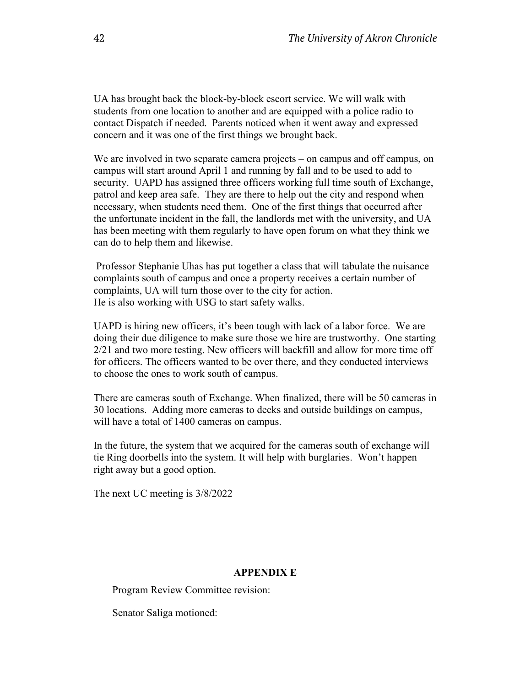UA has brought back the block-by-block escort service. We will walk with students from one location to another and are equipped with a police radio to contact Dispatch if needed. Parents noticed when it went away and expressed concern and it was one of the first things we brought back.

We are involved in two separate camera projects – on campus and off campus, on campus will start around April 1 and running by fall and to be used to add to security. UAPD has assigned three officers working full time south of Exchange, patrol and keep area safe. They are there to help out the city and respond when necessary, when students need them. One of the first things that occurred after the unfortunate incident in the fall, the landlords met with the university, and UA has been meeting with them regularly to have open forum on what they think we can do to help them and likewise.

Professor Stephanie Uhas has put together a class that will tabulate the nuisance complaints south of campus and once a property receives a certain number of complaints, UA will turn those over to the city for action. He is also working with USG to start safety walks.

UAPD is hiring new officers, it's been tough with lack of a labor force. We are doing their due diligence to make sure those we hire are trustworthy. One starting 2/21 and two more testing. New officers will backfill and allow for more time off for officers. The officers wanted to be over there, and they conducted interviews to choose the ones to work south of campus.

There are cameras south of Exchange. When finalized, there will be 50 cameras in 30 locations. Adding more cameras to decks and outside buildings on campus, will have a total of 1400 cameras on campus.

In the future, the system that we acquired for the cameras south of exchange will tie Ring doorbells into the system. It will help with burglaries. Won't happen right away but a good option.

The next UC meeting is 3/8/2022

#### **APPENDIX E**

Program Review Committee revision:

Senator Saliga motioned: